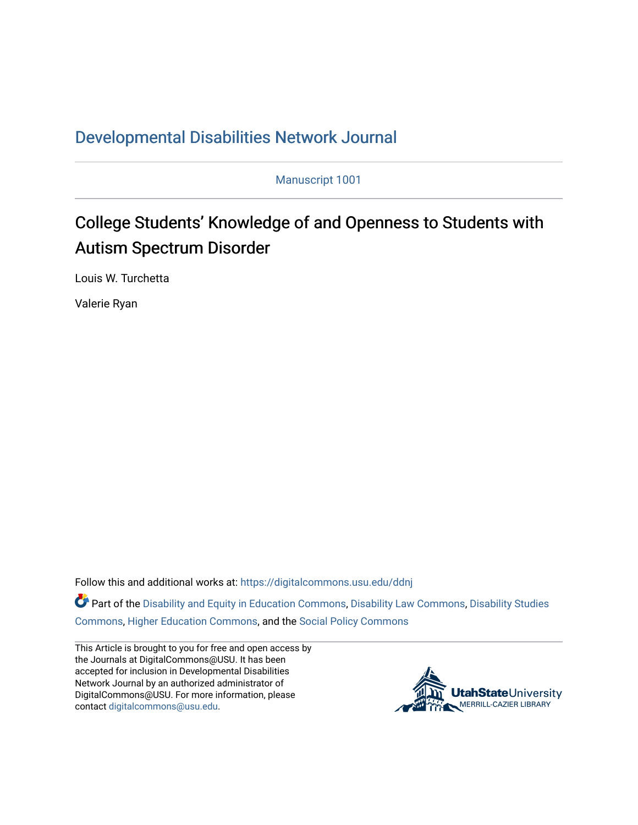## [Developmental Disabilities Network Journal](https://digitalcommons.usu.edu/ddnj)

Manuscript 1001

# College Students' Knowledge of and Openness to Students with Autism Spectrum Disorder

Louis W. Turchetta

Valerie Ryan

Follow this and additional works at: [https://digitalcommons.usu.edu/ddnj](https://digitalcommons.usu.edu/ddnj?utm_source=digitalcommons.usu.edu%2Fddnj%2Fvol2%2Fiss1%2F7&utm_medium=PDF&utm_campaign=PDFCoverPages) 

Part of the [Disability and Equity in Education Commons](http://network.bepress.com/hgg/discipline/1040?utm_source=digitalcommons.usu.edu%2Fddnj%2Fvol2%2Fiss1%2F7&utm_medium=PDF&utm_campaign=PDFCoverPages), [Disability Law Commons,](http://network.bepress.com/hgg/discipline/1074?utm_source=digitalcommons.usu.edu%2Fddnj%2Fvol2%2Fiss1%2F7&utm_medium=PDF&utm_campaign=PDFCoverPages) [Disability Studies](http://network.bepress.com/hgg/discipline/1417?utm_source=digitalcommons.usu.edu%2Fddnj%2Fvol2%2Fiss1%2F7&utm_medium=PDF&utm_campaign=PDFCoverPages) [Commons](http://network.bepress.com/hgg/discipline/1417?utm_source=digitalcommons.usu.edu%2Fddnj%2Fvol2%2Fiss1%2F7&utm_medium=PDF&utm_campaign=PDFCoverPages), [Higher Education Commons](http://network.bepress.com/hgg/discipline/1245?utm_source=digitalcommons.usu.edu%2Fddnj%2Fvol2%2Fiss1%2F7&utm_medium=PDF&utm_campaign=PDFCoverPages), and the [Social Policy Commons](http://network.bepress.com/hgg/discipline/1030?utm_source=digitalcommons.usu.edu%2Fddnj%2Fvol2%2Fiss1%2F7&utm_medium=PDF&utm_campaign=PDFCoverPages)

This Article is brought to you for free and open access by the Journals at DigitalCommons@USU. It has been accepted for inclusion in Developmental Disabilities Network Journal by an authorized administrator of DigitalCommons@USU. For more information, please contact [digitalcommons@usu.edu](mailto:digitalcommons@usu.edu).

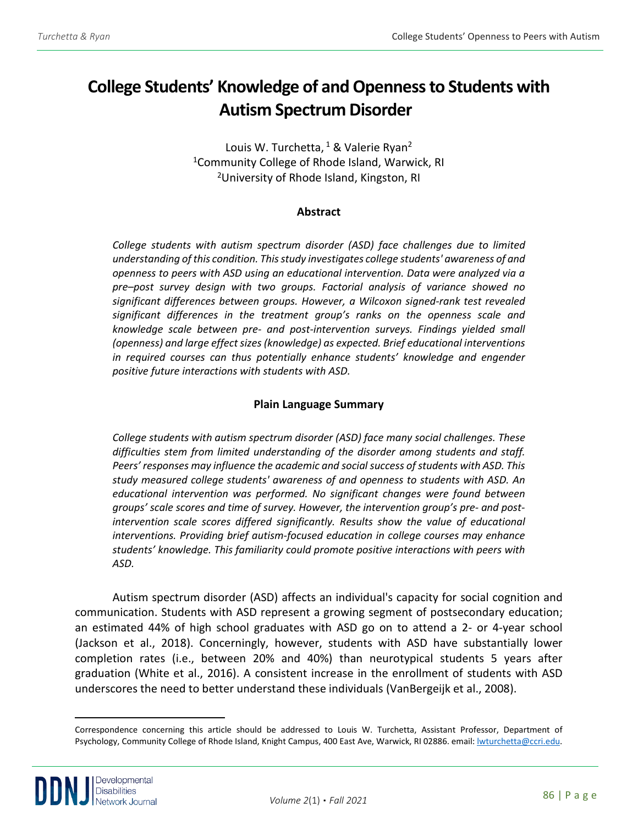## **College Students' Knowledge of and Openness to Students with Autism Spectrum Disorder[a](#page-1-0)**

Louis W. Turchetta,  $1$  & Valerie Ryan<sup>2</sup> <sup>1</sup>Community College of Rhode Island, Warwick, RI <sup>2</sup>University of Rhode Island, Kingston, RI

### **Abstract**

*College students with autism spectrum disorder (ASD) face challenges due to limited understanding of this condition. This study investigates college students' awareness of and openness to peers with ASD using an educational intervention. Data were analyzed via a pre–post survey design with two groups. Factorial analysis of variance showed no significant differences between groups. However, a Wilcoxon signed-rank test revealed significant differences in the treatment group's ranks on the openness scale and knowledge scale between pre- and post-intervention surveys. Findings yielded small (openness) and large effect sizes (knowledge) as expected. Brief educational interventions*  in required courses can thus potentially enhance students' knowledge and engender *positive future interactions with students with ASD.*

## **Plain Language Summary**

*College students with autism spectrum disorder (ASD) face many social challenges. These difficulties stem from limited understanding of the disorder among students and staff. Peers' responses may influence the academic and social success of students with ASD. This study measured college students' awareness of and openness to students with ASD. An educational intervention was performed. No significant changes were found between groups' scale scores and time of survey. However, the intervention group's pre- and postintervention scale scores differed significantly. Results show the value of educational interventions. Providing brief autism-focused education in college courses may enhance students' knowledge. This familiarity could promote positive interactions with peers with ASD.*

Autism spectrum disorder (ASD) affects an individual's capacity for social cognition and communication. Students with ASD represent a growing segment of postsecondary education; an estimated 44% of high school graduates with ASD go on to attend a 2- or 4-year school (Jackson et al., 2018). Concerningly, however, students with ASD have substantially lower completion rates (i.e., between 20% and 40%) than neurotypical students 5 years after graduation (White et al., 2016). A consistent increase in the enrollment of students with ASD underscores the need to better understand these individuals (VanBergeijk et al., 2008).

<span id="page-1-0"></span>Correspondence concerning this article should be addressed to Louis W. Turchetta, Assistant Professor, Department of Psychology, Community College of Rhode Island, Knight Campus, 400 East Ave, Warwick, RI 02886. email: *lwturchetta@ccri.edu.*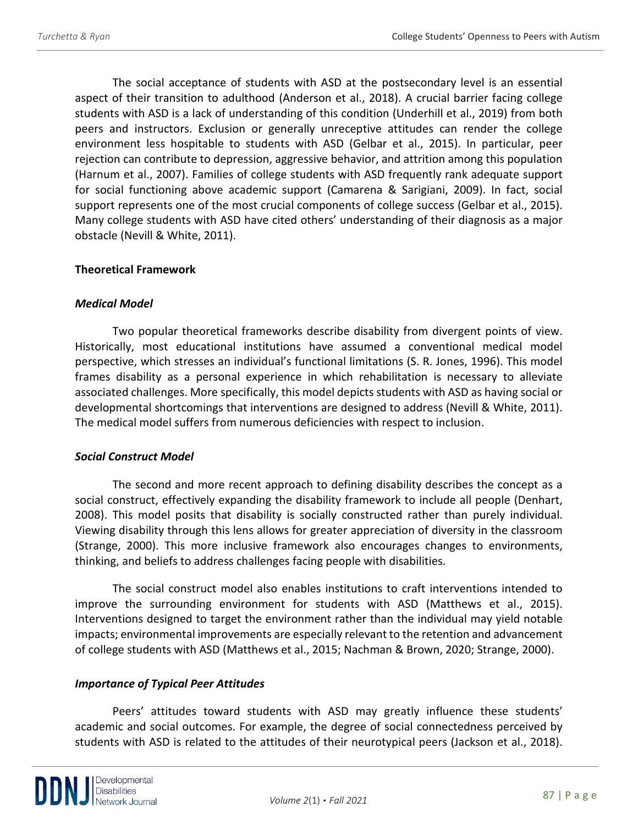The social acceptance of students with ASD at the postsecondary level is an essential aspect of their transition to adulthood (Anderson et al., 2018). A crucial barrier facing college students with ASD is a lack of understanding of this condition (Underhill et al., 2019) from both peers and instructors. Exclusion or generally unreceptive attitudes can render the college environment less hospitable to students with ASD (Gelbar et al., 2015). In particular, peer rejection can contribute to depression, aggressive behavior, and attrition among this population (Harnum et al., 2007). Families of college students with ASD frequently rank adequate support for social functioning above academic support (Camarena & Sarigiani, 2009). In fact, social support represents one of the most crucial components of college success (Gelbar et al., 2015). Many college students with ASD have cited others' understanding of their diagnosis as a major obstacle (Nevill & White, 2011).

### **Theoretical Framework**

#### *Medical Model*

Two popular theoretical frameworks describe disability from divergent points of view. Historically, most educational institutions have assumed a conventional medical model perspective, which stresses an individual's functional limitations (S. R. Jones, 1996). This model frames disability as a personal experience in which rehabilitation is necessary to alleviate associated challenges. More specifically, this model depicts students with ASD as having social or developmental shortcomings that interventions are designed to address (Nevill & White, 2011). The medical model suffers from numerous deficiencies with respect to inclusion.

#### *Social Construct Model*

The second and more recent approach to defining disability describes the concept as a social construct, effectively expanding the disability framework to include all people (Denhart, 2008). This model posits that disability is socially constructed rather than purely individual. Viewing disability through this lens allows for greater appreciation of diversity in the classroom (Strange, 2000). This more inclusive framework also encourages changes to environments, thinking, and beliefs to address challenges facing people with disabilities.

The social construct model also enables institutions to craft interventions intended to improve the surrounding environment for students with ASD (Matthews et al., 2015). Interventions designed to target the environment rather than the individual may yield notable impacts; environmental improvements are especially relevant to the retention and advancement of college students with ASD (Matthews et al., 2015; Nachman & Brown, 2020; Strange, 2000).

### *Importance of Typical Peer Attitudes*

Peers' attitudes toward students with ASD may greatly influence these students' academic and social outcomes. For example, the degree of social connectedness perceived by students with ASD is related to the attitudes of their neurotypical peers (Jackson et al., 2018).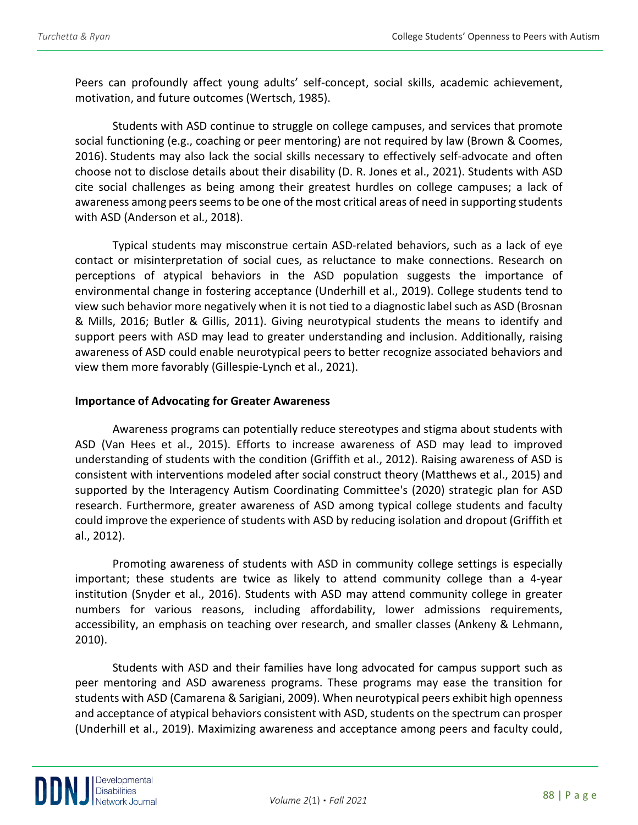Peers can profoundly affect young adults' self-concept, social skills, academic achievement, motivation, and future outcomes (Wertsch, 1985).

Students with ASD continue to struggle on college campuses, and services that promote social functioning (e.g., coaching or peer mentoring) are not required by law (Brown & Coomes, 2016). Students may also lack the social skills necessary to effectively self-advocate and often choose not to disclose details about their disability (D. R. Jones et al., 2021). Students with ASD cite social challenges as being among their greatest hurdles on college campuses; a lack of awareness among peers seems to be one of the most critical areas of need in supporting students with ASD (Anderson et al., 2018).

Typical students may misconstrue certain ASD-related behaviors, such as a lack of eye contact or misinterpretation of social cues, as reluctance to make connections. Research on perceptions of atypical behaviors in the ASD population suggests the importance of environmental change in fostering acceptance (Underhill et al., 2019). College students tend to view such behavior more negatively when it is not tied to a diagnostic label such as ASD (Brosnan & Mills, 2016; Butler & Gillis, 2011). Giving neurotypical students the means to identify and support peers with ASD may lead to greater understanding and inclusion. Additionally, raising awareness of ASD could enable neurotypical peers to better recognize associated behaviors and view them more favorably (Gillespie-Lynch et al., 2021).

### **Importance of Advocating for Greater Awareness**

Awareness programs can potentially reduce stereotypes and stigma about students with ASD (Van Hees et al., 2015). Efforts to increase awareness of ASD may lead to improved understanding of students with the condition (Griffith et al., 2012). Raising awareness of ASD is consistent with interventions modeled after social construct theory (Matthews et al., 2015) and supported by the Interagency Autism Coordinating Committee's (2020) strategic plan for ASD research. Furthermore, greater awareness of ASD among typical college students and faculty could improve the experience of students with ASD by reducing isolation and dropout (Griffith et al., 2012).

Promoting awareness of students with ASD in community college settings is especially important; these students are twice as likely to attend community college than a 4-year institution (Snyder et al., 2016). Students with ASD may attend community college in greater numbers for various reasons, including affordability, lower admissions requirements, accessibility, an emphasis on teaching over research, and smaller classes (Ankeny & Lehmann, 2010).

Students with ASD and their families have long advocated for campus support such as peer mentoring and ASD awareness programs. These programs may ease the transition for students with ASD (Camarena & Sarigiani, 2009). When neurotypical peers exhibit high openness and acceptance of atypical behaviors consistent with ASD, students on the spectrum can prosper (Underhill et al., 2019). Maximizing awareness and acceptance among peers and faculty could,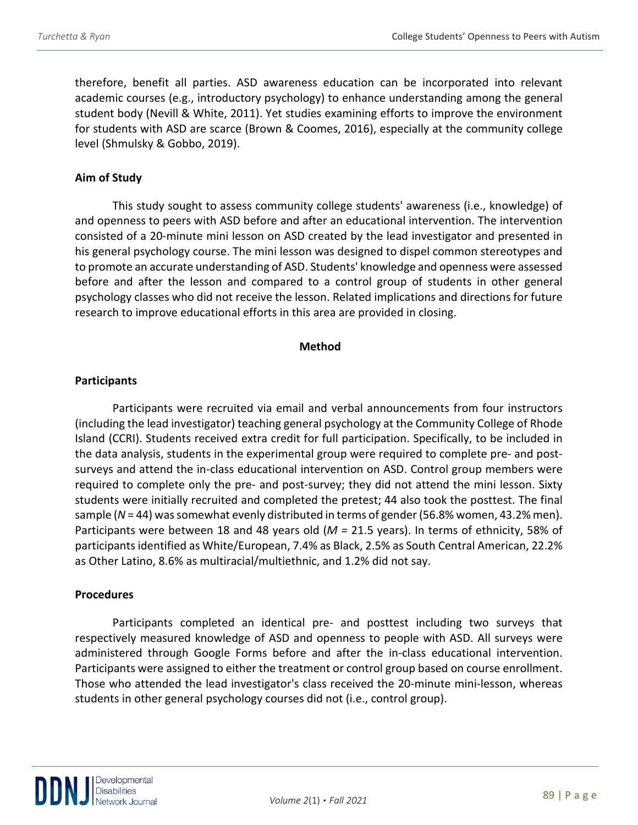therefore, benefit all parties. ASD awareness education can be incorporated into relevant academic courses (e.g., introductory psychology) to enhance understanding among the general student body (Nevill & White, 2011). Yet studies examining efforts to improve the environment for students with ASD are scarce (Brown & Coomes, 2016), especially at the community college level (Shmulsky & Gobbo, 2019).

## **Aim of Study**

This study sought to assess community college students' awareness (i.e., knowledge) of and openness to peers with ASD before and after an educational intervention. The intervention consisted of a 20-minute mini lesson on ASD created by the lead investigator and presented in his general psychology course. The mini lesson was designed to dispel common stereotypes and to promote an accurate understanding of ASD. Students' knowledge and openness were assessed before and after the lesson and compared to a control group of students in other general psychology classes who did not receive the lesson. Related implications and directions for future research to improve educational efforts in this area are provided in closing.

## **Method**

## **Participants**

Participants were recruited via email and verbal announcements from four instructors (including the lead investigator) teaching general psychology at the Community College of Rhode Island (CCRI). Students received extra credit for full participation. Specifically, to be included in the data analysis, students in the experimental group were required to complete pre- and postsurveys and attend the in-class educational intervention on ASD. Control group members were required to complete only the pre- and post-survey; they did not attend the mini lesson. Sixty students were initially recruited and completed the pretest; 44 also took the posttest. The final sample (*N* = 44) was somewhat evenly distributed in terms of gender (56.8% women, 43.2% men). Participants were between 18 and 48 years old (*M =* 21.5 years). In terms of ethnicity, 58% of participants identified as White/European, 7.4% as Black, 2.5% as South Central American, 22.2% as Other Latino, 8.6% as multiracial/multiethnic, and 1.2% did not say.

## **Procedures**

Participants completed an identical pre- and posttest including two surveys that respectively measured knowledge of ASD and openness to people with ASD. All surveys were administered through Google Forms before and after the in-class educational intervention. Participants were assigned to either the treatment or control group based on course enrollment. Those who attended the lead investigator's class received the 20-minute mini-lesson, whereas students in other general psychology courses did not (i.e., control group).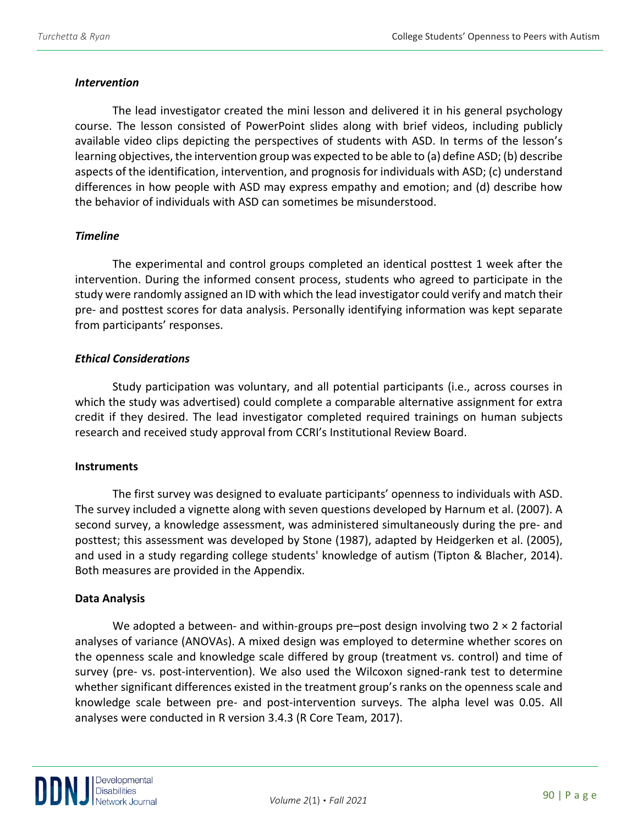### *Intervention*

The lead investigator created the mini lesson and delivered it in his general psychology course. The lesson consisted of PowerPoint slides along with brief videos, including publicly available video clips depicting the perspectives of students with ASD. In terms of the lesson's learning objectives, the intervention group was expected to be able to (a) define ASD; (b) describe aspects of the identification, intervention, and prognosis for individuals with ASD; (c) understand differences in how people with ASD may express empathy and emotion; and (d) describe how the behavior of individuals with ASD can sometimes be misunderstood.

## *Timeline*

The experimental and control groups completed an identical posttest 1 week after the intervention. During the informed consent process, students who agreed to participate in the study were randomly assigned an ID with which the lead investigator could verify and match their pre- and posttest scores for data analysis. Personally identifying information was kept separate from participants' responses.

## *Ethical Considerations*

Study participation was voluntary, and all potential participants (i.e., across courses in which the study was advertised) could complete a comparable alternative assignment for extra credit if they desired. The lead investigator completed required trainings on human subjects research and received study approval from CCRI's Institutional Review Board.

### **Instruments**

The first survey was designed to evaluate participants' openness to individuals with ASD. The survey included a vignette along with seven questions developed by Harnum et al. (2007). A second survey, a knowledge assessment, was administered simultaneously during the pre- and posttest; this assessment was developed by Stone (1987), adapted by Heidgerken et al. (2005), and used in a study regarding college students' knowledge of autism (Tipton & Blacher, 2014). Both measures are provided in the Appendix.

## **Data Analysis**

We adopted a between- and within-groups pre–post design involving two  $2 \times 2$  factorial analyses of variance (ANOVAs). A mixed design was employed to determine whether scores on the openness scale and knowledge scale differed by group (treatment vs. control) and time of survey (pre- vs. post-intervention). We also used the Wilcoxon signed-rank test to determine whether significant differences existed in the treatment group's ranks on the openness scale and knowledge scale between pre- and post-intervention surveys. The alpha level was 0.05. All analyses were conducted in R version 3.4.3 (R Core Team, 2017).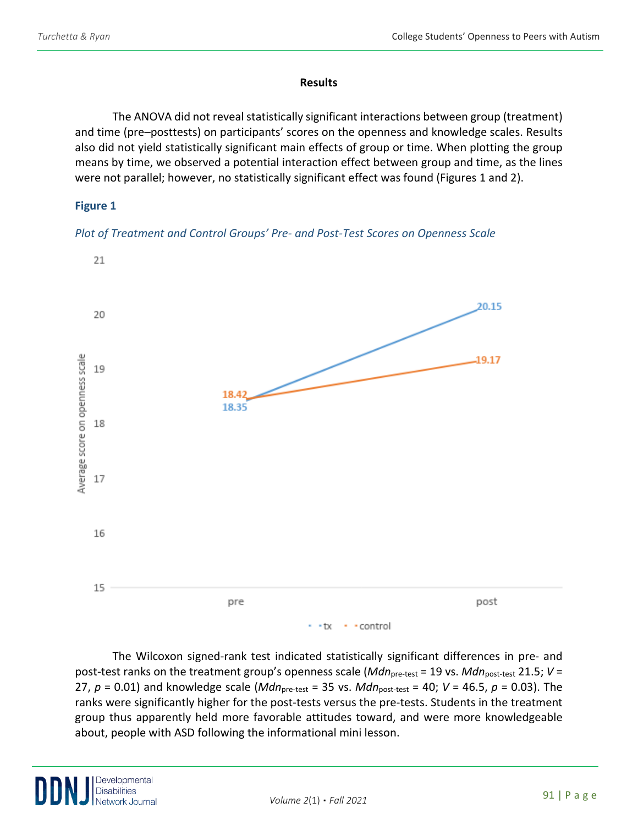#### **Results**

The ANOVA did not reveal statistically significant interactions between group (treatment) and time (pre–posttests) on participants' scores on the openness and knowledge scales. Results also did not yield statistically significant main effects of group or time. When plotting the group means by time, we observed a potential interaction effect between group and time, as the lines were not parallel; however, no statistically significant effect was found (Figures 1 and 2).

## **Figure 1**





The Wilcoxon signed-rank test indicated statistically significant differences in pre- and post-test ranks on the treatment group's openness scale (*Mdn*<sub>pre-test</sub> = 19 vs. *Mdn*<sub>post-test</sub> 21.5; *V* = 27, *p* = 0.01) and knowledge scale (*Mdn*pre-test = 35 vs. *Mdn*post-test = 40; *V* = 46.5, *p* = 0.03). The ranks were significantly higher for the post-tests versus the pre-tests. Students in the treatment group thus apparently held more favorable attitudes toward, and were more knowledgeable about, people with ASD following the informational mini lesson.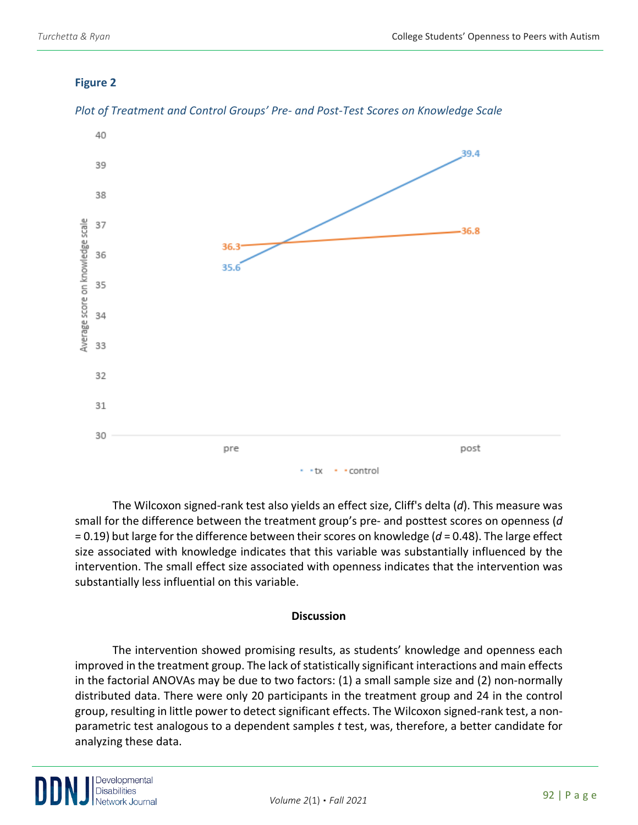## **Figure 2**



## *Plot of Treatment and Control Groups' Pre- and Post-Test Scores on Knowledge Scale*

The Wilcoxon signed-rank test also yields an effect size, Cliff's delta (*d*). This measure was small for the difference between the treatment group's pre- and posttest scores on openness (*d* = 0.19) but large for the difference between their scores on knowledge (*d* = 0.48). The large effect size associated with knowledge indicates that this variable was substantially influenced by the intervention. The small effect size associated with openness indicates that the intervention was substantially less influential on this variable.

## **Discussion**

The intervention showed promising results, as students' knowledge and openness each improved in the treatment group. The lack of statistically significant interactions and main effects in the factorial ANOVAs may be due to two factors: (1) a small sample size and (2) non-normally distributed data. There were only 20 participants in the treatment group and 24 in the control group, resulting in little power to detect significant effects. The Wilcoxon signed-rank test, a nonparametric test analogous to a dependent samples *t* test, was, therefore, a better candidate for analyzing these data.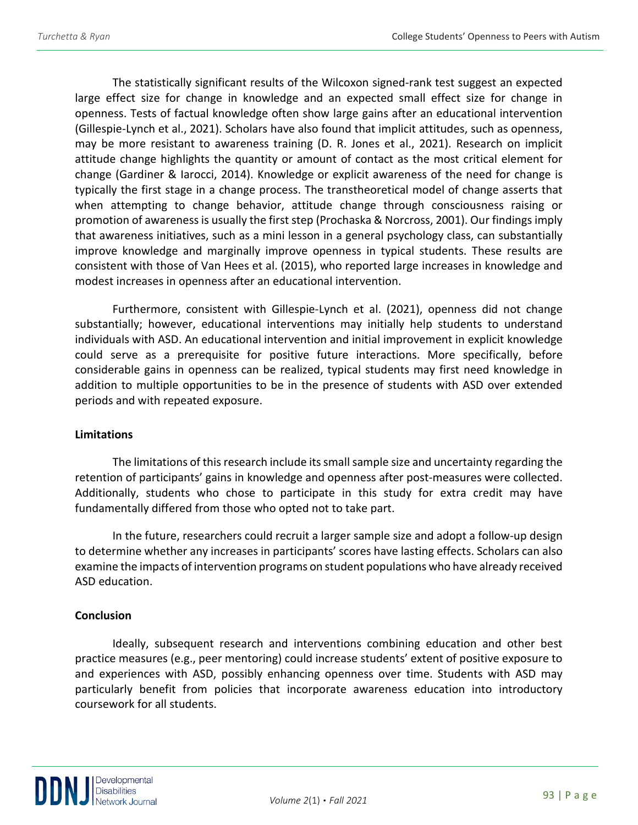The statistically significant results of the Wilcoxon signed-rank test suggest an expected large effect size for change in knowledge and an expected small effect size for change in openness. Tests of factual knowledge often show large gains after an educational intervention (Gillespie-Lynch et al., 2021). Scholars have also found that implicit attitudes, such as openness, may be more resistant to awareness training (D. R. Jones et al., 2021). Research on implicit attitude change highlights the quantity or amount of contact as the most critical element for change (Gardiner & Iarocci, 2014). Knowledge or explicit awareness of the need for change is typically the first stage in a change process. The transtheoretical model of change asserts that when attempting to change behavior, attitude change through consciousness raising or promotion of awareness is usually the first step (Prochaska & Norcross, 2001). Our findings imply that awareness initiatives, such as a mini lesson in a general psychology class, can substantially improve knowledge and marginally improve openness in typical students. These results are consistent with those of Van Hees et al. (2015), who reported large increases in knowledge and modest increases in openness after an educational intervention.

Furthermore, consistent with Gillespie-Lynch et al. (2021), openness did not change substantially; however, educational interventions may initially help students to understand individuals with ASD. An educational intervention and initial improvement in explicit knowledge could serve as a prerequisite for positive future interactions. More specifically, before considerable gains in openness can be realized, typical students may first need knowledge in addition to multiple opportunities to be in the presence of students with ASD over extended periods and with repeated exposure.

### **Limitations**

The limitations of this research include its small sample size and uncertainty regarding the retention of participants' gains in knowledge and openness after post-measures were collected. Additionally, students who chose to participate in this study for extra credit may have fundamentally differed from those who opted not to take part.

In the future, researchers could recruit a larger sample size and adopt a follow-up design to determine whether any increases in participants' scores have lasting effects. Scholars can also examine the impacts of intervention programs on student populations who have already received ASD education.

## **Conclusion**

Ideally, subsequent research and interventions combining education and other best practice measures (e.g., peer mentoring) could increase students' extent of positive exposure to and experiences with ASD, possibly enhancing openness over time. Students with ASD may particularly benefit from policies that incorporate awareness education into introductory coursework for all students.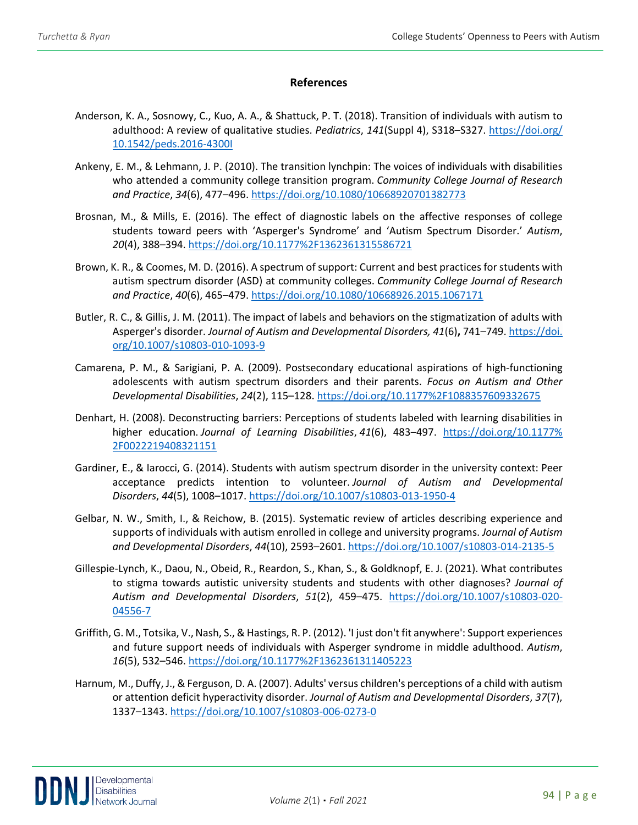#### **References**

- Anderson, K. A., Sosnowy, C., Kuo, A. A., & Shattuck, P. T. (2018). Transition of individuals with autism to adulthood: A review of qualitative studies. *Pediatrics*, *141*(Suppl 4), S318–S327. [https://doi.org/](https://doi.org/%2010.1542/peds.2016-4300I)  [10.1542/peds.2016-4300I](https://doi.org/%2010.1542/peds.2016-4300I)
- Ankeny, E. M., & Lehmann, J. P. (2010). The transition lynchpin: The voices of individuals with disabilities who attended a community college transition program. *Community College Journal of Research and Practice*, *34*(6), 477–496.<https://doi.org/10.1080/10668920701382773>
- Brosnan, M., & Mills, E. (2016). The effect of diagnostic labels on the affective responses of college students toward peers with 'Asperger's Syndrome' and 'Autism Spectrum Disorder.' *Autism*, *20*(4), 388–394.<https://doi.org/10.1177%2F1362361315586721>
- Brown, K. R., & Coomes, M. D. (2016). A spectrum of support: Current and best practices for students with autism spectrum disorder (ASD) at community colleges. *Community College Journal of Research and Practice*, *40*(6), 465–479.<https://doi.org/10.1080/10668926.2015.1067171>
- Butler, R. C., & Gillis, J. M. (2011). The impact of labels and behaviors on the stigmatization of adults with Asperger's disorder. *Journal of Autism and Developmental Disorders, 41*(6)**,** 741–749. https://doi. org/10.1007/s10803-010-1093-9
- Camarena, P. M., & Sarigiani, P. A. (2009). Postsecondary educational aspirations of high-functioning adolescents with autism spectrum disorders and their parents. *Focus on Autism and Other Developmental Disabilities*, *24*(2), 115–128.<https://doi.org/10.1177%2F1088357609332675>
- Denhart, H. (2008). Deconstructing barriers: Perceptions of students labeled with learning disabilities in higher education. *Journal of Learning Disabilities*, *41*(6), 483–497. [https://doi.org/10.1177%](https://doi.org/10.1177%25%202F0022219408321151)  [2F0022219408321151](https://doi.org/10.1177%25%202F0022219408321151)
- Gardiner, E., & Iarocci, G. (2014). Students with autism spectrum disorder in the university context: Peer acceptance predicts intention to volunteer. *Journal of Autism and Developmental Disorders*, *44*(5), 1008–1017.<https://doi.org/10.1007/s10803-013-1950-4>
- Gelbar, N. W., Smith, I., & Reichow, B. (2015). Systematic review of articles describing experience and supports of individuals with autism enrolled in college and university programs. *Journal of Autism and Developmental Disorders*, *44*(10), 2593–2601.<https://doi.org/10.1007/s10803-014-2135-5>
- Gillespie-Lynch, K., Daou, N., Obeid, R., Reardon, S., Khan, S., & Goldknopf, E. J. (2021). What contributes to stigma towards autistic university students and students with other diagnoses? *Journal of Autism and Developmental Disorders*, *51*(2), 459–475. [https://doi.org/10.1007/s10803-020-](https://doi.org/10.1007/s10803-020-04556-7) [04556-7](https://doi.org/10.1007/s10803-020-04556-7)
- Griffith, G. M., Totsika, V., Nash, S., & Hastings, R. P. (2012). 'I just don't fit anywhere': Support experiences and future support needs of individuals with Asperger syndrome in middle adulthood. *Autism*, *16*(5), 532–546.<https://doi.org/10.1177%2F1362361311405223>
- Harnum, M., Duffy, J., & Ferguson, D. A. (2007). Adults' versus children's perceptions of a child with autism or attention deficit hyperactivity disorder. *Journal of Autism and Developmental Disorders*, *37*(7), 1337–1343.<https://doi.org/10.1007/s10803-006-0273-0>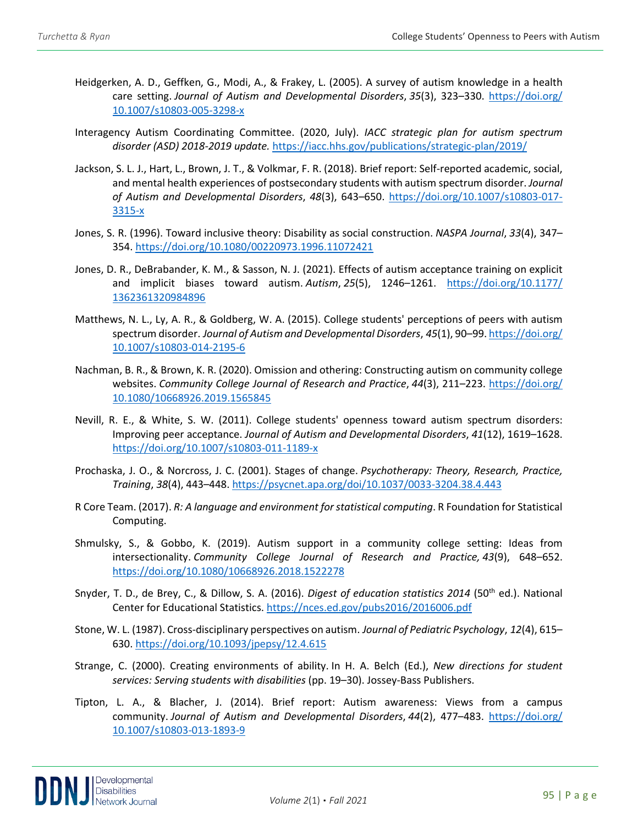- Heidgerken, A. D., Geffken, G., Modi, A., & Frakey, L. (2005). A survey of autism knowledge in a health care setting. *Journal of Autism and Developmental Disorders*, *35*(3), 323–330. [https://doi.org/](https://doi.org/%2010.1007/s10803-005-3298-x)  [10.1007/s10803-005-3298-x](https://doi.org/%2010.1007/s10803-005-3298-x)
- Interagency Autism Coordinating Committee. (2020, July). *IACC strategic plan for autism spectrum disorder (ASD) 2018-2019 update.* <https://iacc.hhs.gov/publications/strategic-plan/2019/>
- Jackson, S. L. J., Hart, L., Brown, J. T., & Volkmar, F. R. (2018). Brief report: Self-reported academic, social, and mental health experiences of postsecondary students with autism spectrum disorder. *Journal of Autism and Developmental Disorders*, *48*(3), 643–650. [https://doi.org/10.1007/s10803-017-](https://doi.org/10.1007/s10803-017-3315-x) [3315-x](https://doi.org/10.1007/s10803-017-3315-x)
- Jones, S. R. (1996). Toward inclusive theory: Disability as social construction. *NASPA Journal*, *33*(4), 347– 354.<https://doi.org/10.1080/00220973.1996.11072421>
- Jones, D. R., DeBrabander, K. M., & Sasson, N. J. (2021). Effects of autism acceptance training on explicit and implicit biases toward autism. *Autism*, *25*(5), 1246–1261. [https://doi.org/10.1177/](https://doi.org/10.1177/%201362361320984896)  [1362361320984896](https://doi.org/10.1177/%201362361320984896)
- Matthews, N. L., Ly, A. R., & Goldberg, W. A. (2015). College students' perceptions of peers with autism spectrum disorder. *Journal of Autism and Developmental Disorders*, *45*(1), 90–99[. https://doi.org/](https://doi.org/%2010.1007/s10803-014-2195-6)  [10.1007/s10803-014-2195-6](https://doi.org/%2010.1007/s10803-014-2195-6)
- Nachman, B. R., & Brown, K. R. (2020). Omission and othering: Constructing autism on community college websites. Community College Journal of Research and Practice, 44(3), 211-223. https://doi.org/ [10.1080/10668926.2019.1565845](https://doi.org/%2010.1080/10668926.2019.1565845)
- Nevill, R. E., & White, S. W. (2011). College students' openness toward autism spectrum disorders: Improving peer acceptance. *Journal of Autism and Developmental Disorders*, *41*(12), 1619–1628. <https://doi.org/10.1007/s10803-011-1189-x>
- Prochaska, J. O., & Norcross, J. C. (2001). Stages of change. *Psychotherapy: Theory, Research, Practice, Training*, *38*(4), 443–448.<https://psycnet.apa.org/doi/10.1037/0033-3204.38.4.443>
- R Core Team. (2017). *R: A language and environment for statistical computing*. R Foundation for Statistical Computing.
- Shmulsky, S., & Gobbo, K. (2019). Autism support in a community college setting: Ideas from intersectionality. *Community College Journal of Research and Practice, 43*(9), 648–652. <https://doi.org/10.1080/10668926.2018.1522278>
- Snyder, T. D., de Brey, C., & Dillow, S. A. (2016). *Digest of education statistics 2014* (50th ed.). National Center for Educational Statistics.<https://nces.ed.gov/pubs2016/2016006.pdf>
- Stone, W. L. (1987). Cross-disciplinary perspectives on autism. *Journal of Pediatric Psychology*, *12*(4), 615– 630.<https://doi.org/10.1093/jpepsy/12.4.615>
- Strange, C. (2000). Creating environments of ability. In H. A. Belch (Ed.), *New directions for student services: Serving students with disabilities* (pp. 19–30). Jossey-Bass Publishers.
- Tipton, L. A., & Blacher, J. (2014). Brief report: Autism awareness: Views from a campus community. *Journal of Autism and Developmental Disorders*, *44*(2), 477–483. [https://doi.org/](https://doi.org/%2010.1007/s10803-013-1893-9)  [10.1007/s10803-013-1893-9](https://doi.org/%2010.1007/s10803-013-1893-9)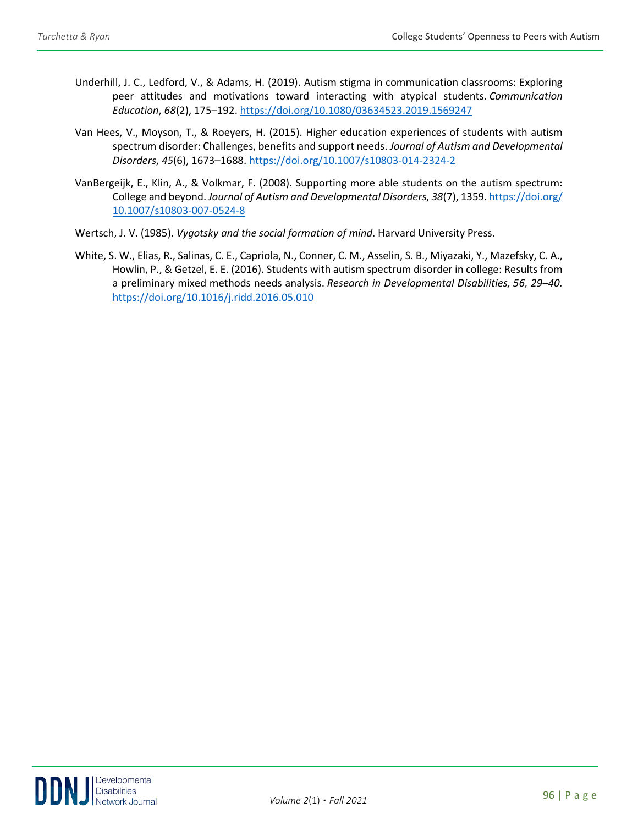- Underhill, J. C., Ledford, V., & Adams, H. (2019). Autism stigma in communication classrooms: Exploring peer attitudes and motivations toward interacting with atypical students. *Communication Education*, *68*(2), 175–192[. https://doi.org/10.1080/03634523.2019.1569247](https://doi.org/10.1080/03634523.2019.1569247)
- Van Hees, V., Moyson, T., & Roeyers, H. (2015). Higher education experiences of students with autism spectrum disorder: Challenges, benefits and support needs. *Journal of Autism and Developmental Disorders*, *45*(6), 1673–1688.<https://doi.org/10.1007/s10803-014-2324-2>
- VanBergeijk, E., Klin, A., & Volkmar, F. (2008). Supporting more able students on the autism spectrum: College and beyond. *Journal of Autism and Developmental Disorders*, *38*(7), 1359[. https://doi.org/](https://doi.org/%2010.1007/s10803-007-0524-8)  [10.1007/s10803-007-0524-8](https://doi.org/%2010.1007/s10803-007-0524-8)
- Wertsch, J. V. (1985). *Vygotsky and the social formation of mind*. Harvard University Press.
- White, S. W., Elias, R., Salinas, C. E., Capriola, N., Conner, C. M., Asselin, S. B., Miyazaki, Y., Mazefsky, C. A., Howlin, P., & Getzel, E. E. (2016). Students with autism spectrum disorder in college: Results from a preliminary mixed methods needs analysis. *Research in Developmental Disabilities, 56, 29–40.*  <https://doi.org/10.1016/j.ridd.2016.05.010>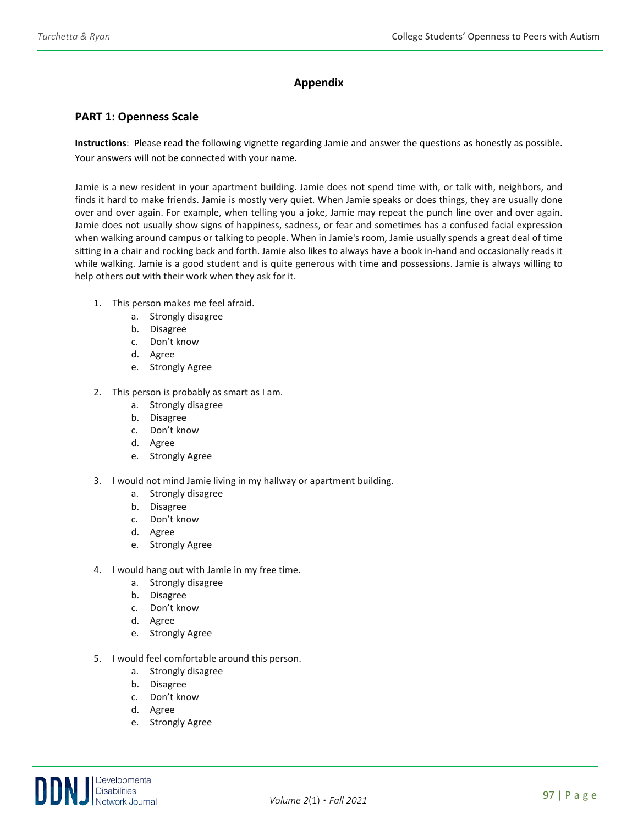## **Appendix**

#### **PART 1: Openness Scale**

**Instructions**: Please read the following vignette regarding Jamie and answer the questions as honestly as possible. Your answers will not be connected with your name.

Jamie is a new resident in your apartment building. Jamie does not spend time with, or talk with, neighbors, and finds it hard to make friends. Jamie is mostly very quiet. When Jamie speaks or does things, they are usually done over and over again. For example, when telling you a joke, Jamie may repeat the punch line over and over again. Jamie does not usually show signs of happiness, sadness, or fear and sometimes has a confused facial expression when walking around campus or talking to people. When in Jamie's room, Jamie usually spends a great deal of time sitting in a chair and rocking back and forth. Jamie also likes to always have a book in-hand and occasionally reads it while walking. Jamie is a good student and is quite generous with time and possessions. Jamie is always willing to help others out with their work when they ask for it.

- 1. This person makes me feel afraid.
	- a. Strongly disagree
	- b. Disagree
	- c. Don't know
	- d. Agree
	- e. Strongly Agree
- 2. This person is probably as smart as I am.
	- a. Strongly disagree
	- b. Disagree
	- c. Don't know
	- d. Agree
	- e. Strongly Agree
- 3. I would not mind Jamie living in my hallway or apartment building.
	- a. Strongly disagree
	- b. Disagree
	- c. Don't know
	- d. Agree
	- e. Strongly Agree
- 4. I would hang out with Jamie in my free time.
	- a. Strongly disagree
	- b. Disagree
	- c. Don't know
	- d. Agree
	- e. Strongly Agree
- 5. I would feel comfortable around this person.
	- a. Strongly disagree
	- b. Disagree
	- c. Don't know
	- d. Agree
	- e. Strongly Agree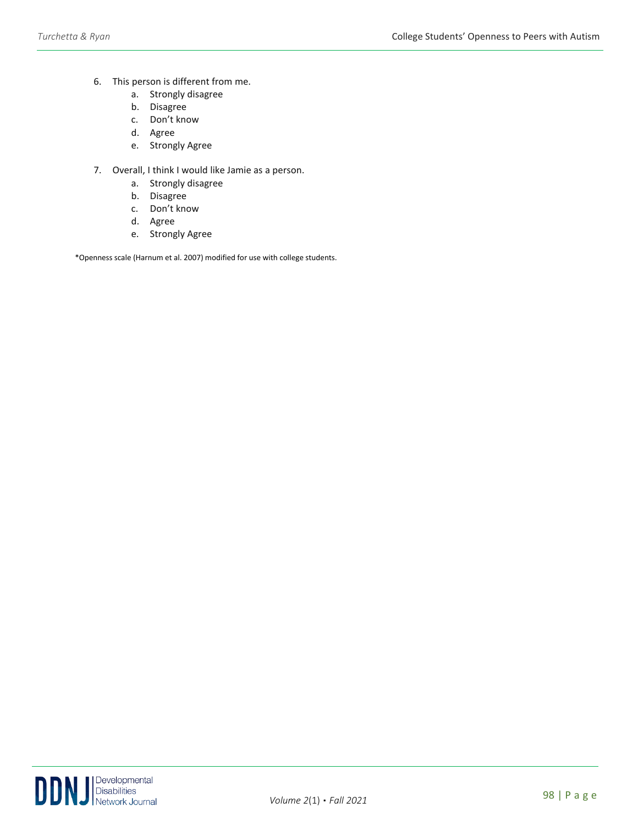- 6. This person is different from me.
	- a. Strongly disagree
	- b. Disagree
	- c. Don't know
	- d. Agree
	- e. Strongly Agree
- 7. Overall, I think I would like Jamie as a person.
	- a. Strongly disagree
	- b. Disagree
	- c. Don't know
	- d. Agree
	- e. Strongly Agree

\*Openness scale (Harnum et al. 2007) modified for use with college students.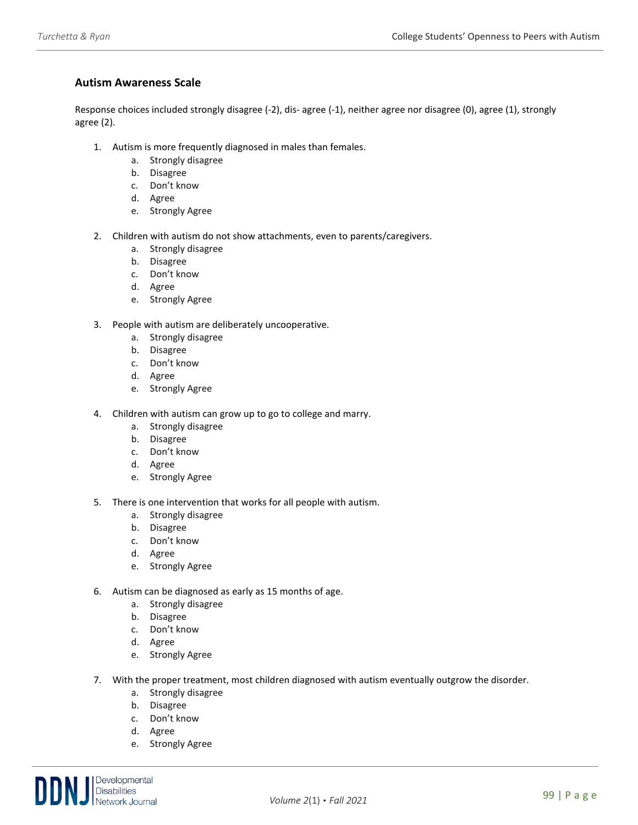### **Autism Awareness Scale**

Response choices included strongly disagree (-2), dis- agree (-1), neither agree nor disagree (0), agree (1), strongly agree (2).

- 1. Autism is more frequently diagnosed in males than females.
	- a. Strongly disagree
	- b. Disagree
	- c. Don't know
	- d. Agree
	- e. Strongly Agree
- 2. Children with autism do not show attachments, even to parents/caregivers.
	- a. Strongly disagree
	- b. Disagree
	- c. Don't know
	- d. Agree
	- e. Strongly Agree
- 3. People with autism are deliberately uncooperative.
	- a. Strongly disagree
	- b. Disagree
	- c. Don't know
	- d. Agree
	- e. Strongly Agree
- 4. Children with autism can grow up to go to college and marry.
	- a. Strongly disagree
	- b. Disagree
	- c. Don't know
	- d. Agree
	- e. Strongly Agree
- 5. There is one intervention that works for all people with autism.
	- a. Strongly disagree
	- b. Disagree
	- c. Don't know
	- d. Agree
	- e. Strongly Agree
- 6. Autism can be diagnosed as early as 15 months of age.
	- a. Strongly disagree
	- b. Disagree
	- c. Don't know
	- d. Agree
	- e. Strongly Agree
- 7. With the proper treatment, most children diagnosed with autism eventually outgrow the disorder.
	- a. Strongly disagree
	- b. Disagree
	- c. Don't know
	- d. Agree
	- e. Strongly Agree